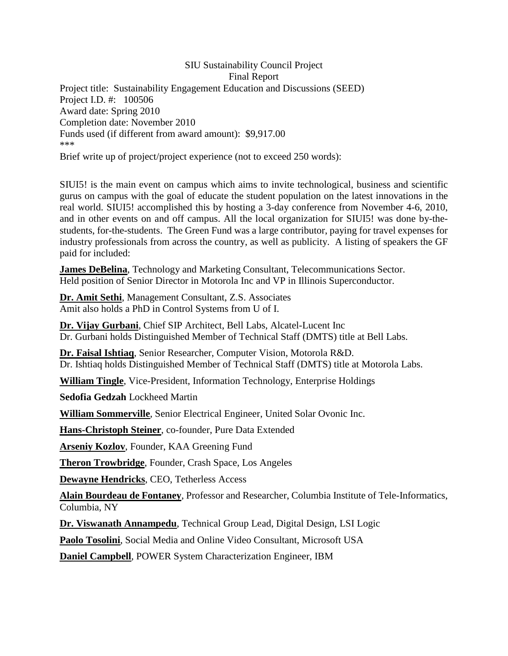SIU Sustainability Council Project Final Report Project title: Sustainability Engagement Education and Discussions (SEED) Project I.D. #: 100506 Award date: Spring 2010 Completion date: November 2010 Funds used (if different from award amount): \$9,917.00 \*\*\*

Brief write up of project/project experience (not to exceed 250 words):

SIUI5! is the main event on campus which aims to invite technological, business and scientific gurus on campus with the goal of educate the student population on the latest innovations in the real world. SIUI5! accomplished this by hosting a 3-day conference from November 4-6, 2010, and in other events on and off campus. All the local organization for SIUI5! was done by-thestudents, for-the-students. The Green Fund was a large contributor, paying for travel expenses for industry professionals from across the country, as well as publicity. A listing of speakers the GF paid for included:

**[James DeBelina](http://innovativesystems.siu.edu/speakers/james-debelina-2)**, Technology and Marketing Consultant, Telecommunications Sector. Held position of Senior Director in Motorola Inc and VP in Illinois Superconductor.

**[Dr. Amit Sethi](http://innovativesystems.siu.edu/speakers/dr-amit-sethi)**, Management Consultant, Z.S. Associates Amit also holds a PhD in Control Systems from U of I.

**[Dr. Vijay Gurbani](http://innovativesystems.siu.edu/speakers/dr-vijay-gurbani)**, Chief SIP Architect, Bell Labs, Alcatel-Lucent Inc Dr. Gurbani holds Distinguished Member of Technical Staff (DMTS) title at Bell Labs.

**[Dr. Faisal Ishtiaq](http://innovativesystems.siu.edu/speakers/dr-faisal-ishtiaq)**, Senior Researcher, Computer Vision, Motorola R&D. Dr. Ishtiaq holds Distinguished Member of Technical Staff (DMTS) title at Motorola Labs.

**[William Tingle](http://innovativesystems.siu.edu/speakers/vp-william-tingle)**, Vice-President, Information Technology, Enterprise Holdings

**[Sedofia Gedzah](http://innovativesystems.siu.edu/speakers/sedofia-gedzah)** Lockheed Martin

**[William Sommerville](http://innovativesystems.siu.edu/speakers/william-sommerville)**, Senior Electrical Engineer, United Solar Ovonic Inc.

**[Hans-Christoph Steiner](http://innovativesystems.siu.edu/speakers/hans-christoph-steiner)**, co-founder, Pure Data Extended

**[Arseniy Kozlov](http://innovativesystems.siu.edu/speakers/arseniy-kozlov)**, Founder, KAA Greening Fund

**[Theron Trowbridge](http://innovativesystems.siu.edu/speakers/theron-trowbridg)**, Founder, Crash Space, Los Angeles

**[Dewayne Hendricks](http://innovativesystems.siu.edu/speakers/dewayne-hendricks)**, CEO, Tetherless Access

**[Alain Bourdeau de Fontaney](http://innovativesystems.siu.edu/speakers/alain-bourdeau-de-fontaney)**, Professor and Researcher, Columbia Institute of Tele-Informatics, Columbia, NY

**[Dr. Viswanath Annampedu](http://innovativesystems.siu.edu/speakers/dr-viswanath-annampedu)**, Technical Group Lead, Digital Design, LSI Logic

**[Paolo Tosolini](http://innovativesystems.siu.edu/speakers/paolo-tosolini)**, Social Media and Online Video Consultant, Microsoft USA

**[Daniel Campbell](http://innovativesystems.siu.edu/speakers/daniel-campbell)**, POWER System Characterization Engineer, IBM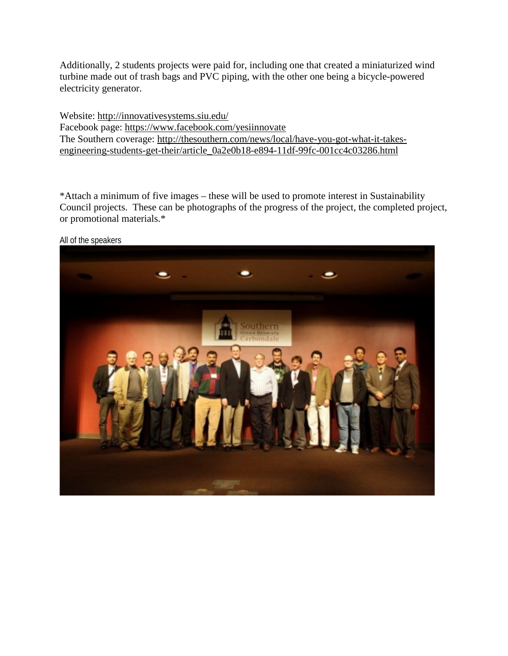Additionally, 2 students projects were paid for, including one that created a miniaturized wind turbine made out of trash bags and PVC piping, with the other one being a bicycle-powered electricity generator.

Website:<http://innovativesystems.siu.edu/> Facebook page:<https://www.facebook.com/yesiinnovate> The Southern coverage: [http://thesouthern.com/news/local/have-you-got-what-it-takes](http://thesouthern.com/news/local/have-you-got-what-it-takes-engineering-students-get-their/article_0a2e0b18-e894-11df-99fc-001cc4c03286.html)[engineering-students-get-their/article\\_0a2e0b18-e894-11df-99fc-001cc4c03286.html](http://thesouthern.com/news/local/have-you-got-what-it-takes-engineering-students-get-their/article_0a2e0b18-e894-11df-99fc-001cc4c03286.html)

\*Attach a minimum of five images – these will be used to promote interest in Sustainability Council projects. These can be photographs of the progress of the project, the completed project, or promotional materials.\*



All of the speakers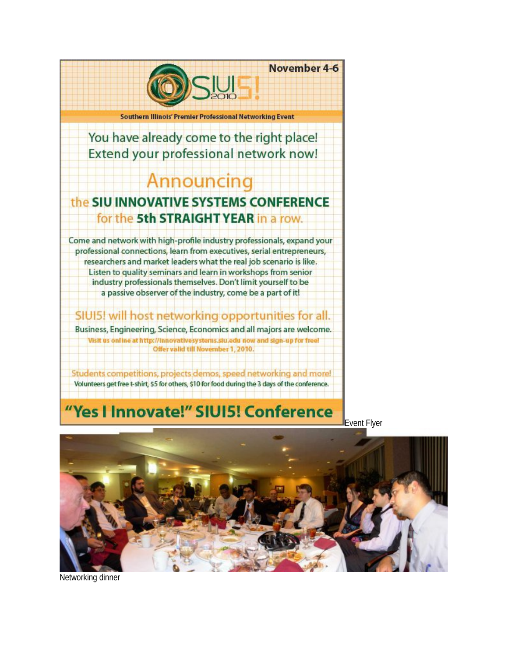

Students competitions, projects demos, speed networking and more!

Volunteers get free t-shirt, \$5 for others, \$10 for food during the 3 days of the conference.

## "Yes I Innovate!" SIUI5! Conference

Event Flyer



Networking dinner